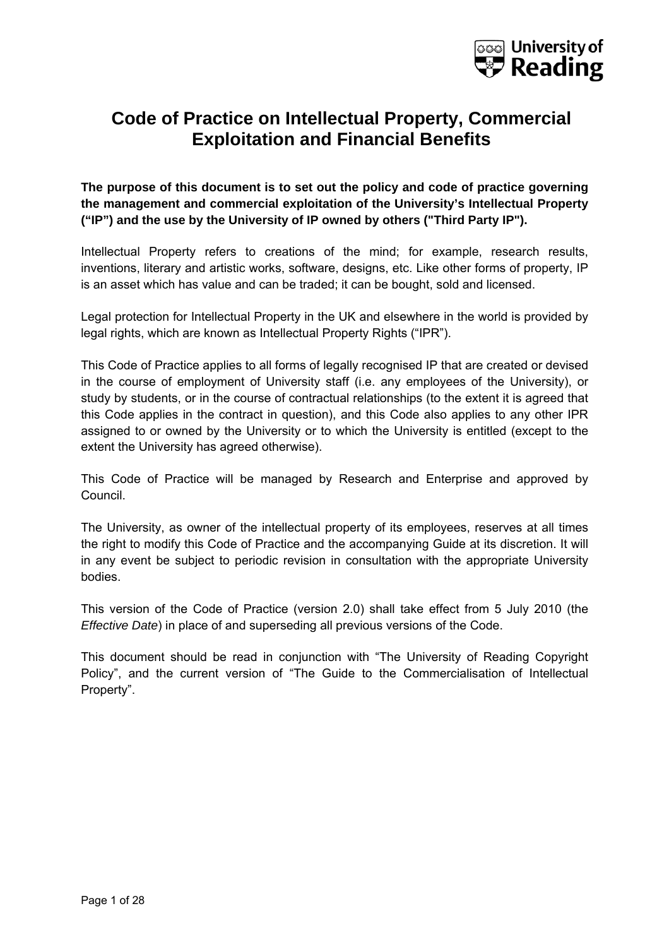

## **Code of Practice on Intellectual Property, Commercial Exploitation and Financial Benefits**

**The purpose of this document is to set out the policy and code of practice governing the management and commercial exploitation of the University's Intellectual Property ("IP") and the use by the University of IP owned by others ("Third Party IP").** 

Intellectual Property refers to creations of the mind; for example, research results, inventions, literary and artistic works, software, designs, etc. Like other forms of property, IP is an asset which has value and can be traded; it can be bought, sold and licensed.

Legal protection for Intellectual Property in the UK and elsewhere in the world is provided by legal rights, which are known as Intellectual Property Rights ("IPR").

This Code of Practice applies to all forms of legally recognised IP that are created or devised in the course of employment of University staff (i.e. any employees of the University), or study by students, or in the course of contractual relationships (to the extent it is agreed that this Code applies in the contract in question), and this Code also applies to any other IPR assigned to or owned by the University or to which the University is entitled (except to the extent the University has agreed otherwise).

This Code of Practice will be managed by Research and Enterprise and approved by Council.

The University, as owner of the intellectual property of its employees, reserves at all times the right to modify this Code of Practice and the accompanying Guide at its discretion. It will in any event be subject to periodic revision in consultation with the appropriate University bodies.

This version of the Code of Practice (version 2.0) shall take effect from 5 July 2010 (the *Effective Date*) in place of and superseding all previous versions of the Code.

This document should be read in conjunction with "The University of Reading Copyright Policy", and the current version of "The Guide to the Commercialisation of Intellectual Property".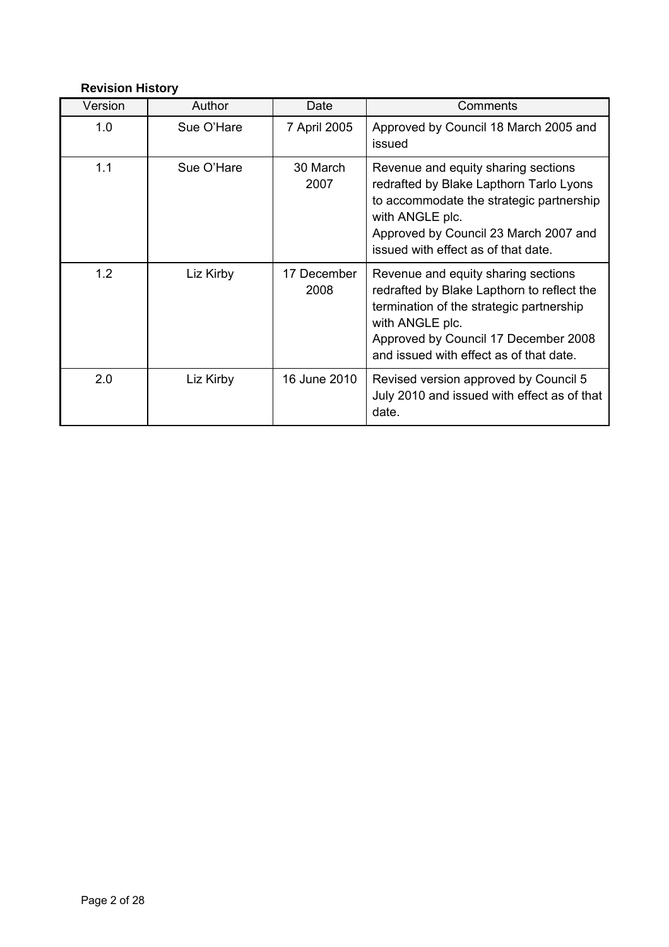## **Revision History**

| Version | Author     | Date                | Comments                                                                                                                                                                                                                            |
|---------|------------|---------------------|-------------------------------------------------------------------------------------------------------------------------------------------------------------------------------------------------------------------------------------|
| 1.0     | Sue O'Hare | 7 April 2005        | Approved by Council 18 March 2005 and<br>issued                                                                                                                                                                                     |
| 1.1     | Sue O'Hare | 30 March<br>2007    | Revenue and equity sharing sections<br>redrafted by Blake Lapthorn Tarlo Lyons<br>to accommodate the strategic partnership<br>with ANGLE plc.<br>Approved by Council 23 March 2007 and<br>issued with effect as of that date.       |
| 1.2     | Liz Kirby  | 17 December<br>2008 | Revenue and equity sharing sections<br>redrafted by Blake Lapthorn to reflect the<br>termination of the strategic partnership<br>with ANGLE plc.<br>Approved by Council 17 December 2008<br>and issued with effect as of that date. |
| 2.0     | Liz Kirby  | 16 June 2010        | Revised version approved by Council 5<br>July 2010 and issued with effect as of that<br>date.                                                                                                                                       |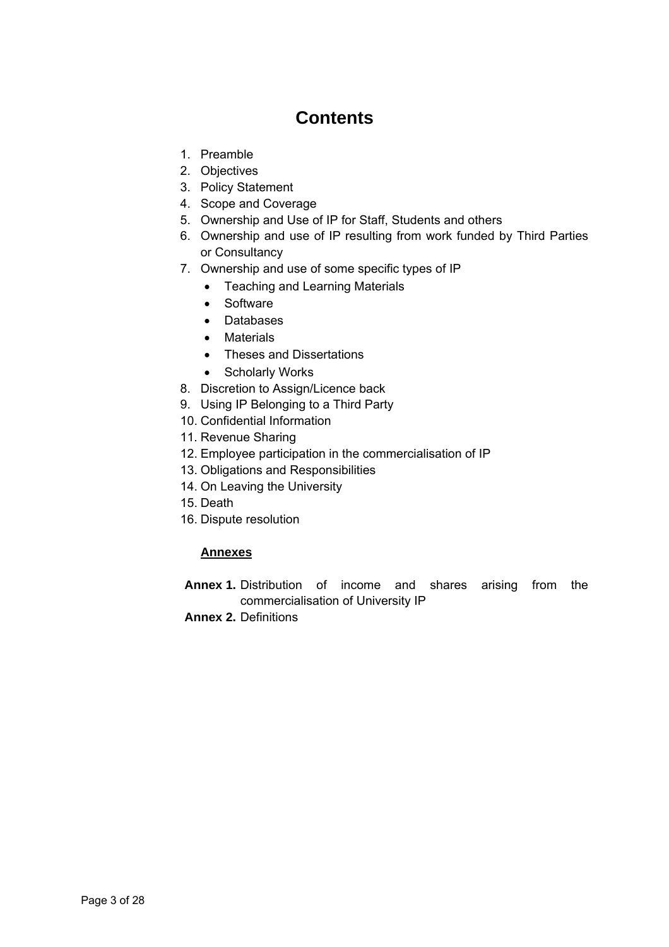# **Contents**

- 1. Preamble
- 2. Objectives
- 3. Policy Statement
- 4. Scope and Coverage
- 5. Ownership and Use of IP for Staff, Students and others
- 6. Ownership and use of IP resulting from work funded by Third Parties or Consultancy
- 7. Ownership and use of some specific types of IP
	- Teaching and Learning Materials
	- Software
	- Databases
	- Materials
	- Theses and Dissertations
	- Scholarly Works
- 8. Discretion to Assign/Licence back
- 9. Using IP Belonging to a Third Party
- 10. Confidential Information
- 11. Revenue Sharing
- 12. Employee participation in the commercialisation of IP
- 13. Obligations and Responsibilities
- 14. On Leaving the University
- 15. Death
- 16. Dispute resolution

## **Annexes**

- **Annex 1.** Distribution of income and shares arising from the commercialisation of University IP
- **Annex 2.** Definitions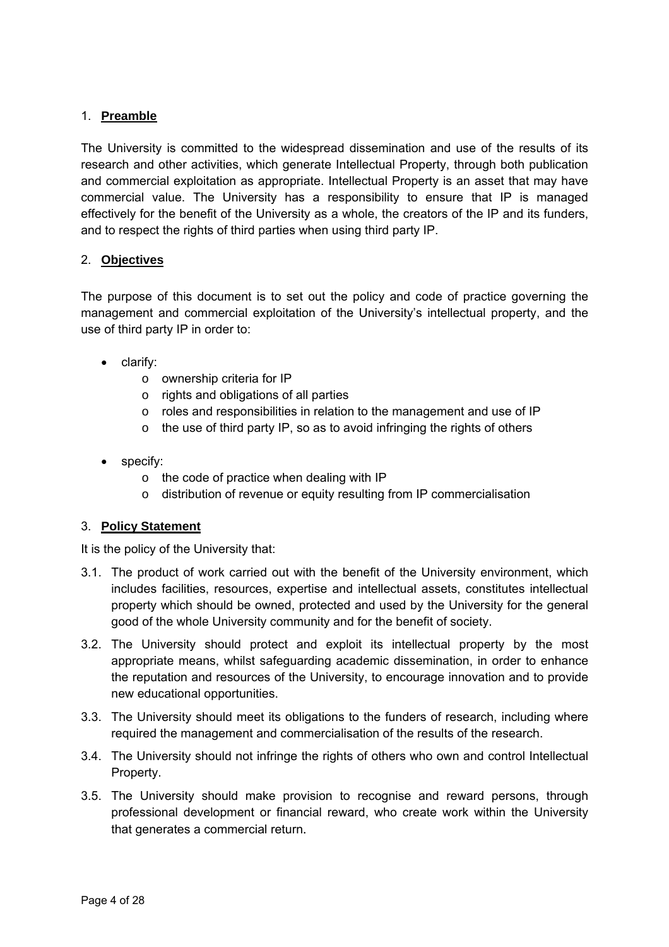## 1. **Preamble**

The University is committed to the widespread dissemination and use of the results of its research and other activities, which generate Intellectual Property, through both publication and commercial exploitation as appropriate. Intellectual Property is an asset that may have commercial value. The University has a responsibility to ensure that IP is managed effectively for the benefit of the University as a whole, the creators of the IP and its funders, and to respect the rights of third parties when using third party IP.

## 2. **Objectives**

The purpose of this document is to set out the policy and code of practice governing the management and commercial exploitation of the University's intellectual property, and the use of third party IP in order to:

- clarify:
	- o ownership criteria for IP
	- o rights and obligations of all parties
	- o roles and responsibilities in relation to the management and use of IP
	- $\circ$  the use of third party IP, so as to avoid infringing the rights of others
- specify:
	- o the code of practice when dealing with IP
	- o distribution of revenue or equity resulting from IP commercialisation

## 3. **Policy Statement**

It is the policy of the University that:

- 3.1. The product of work carried out with the benefit of the University environment, which includes facilities, resources, expertise and intellectual assets, constitutes intellectual property which should be owned, protected and used by the University for the general good of the whole University community and for the benefit of society.
- 3.2. The University should protect and exploit its intellectual property by the most appropriate means, whilst safeguarding academic dissemination, in order to enhance the reputation and resources of the University, to encourage innovation and to provide new educational opportunities.
- 3.3. The University should meet its obligations to the funders of research, including where required the management and commercialisation of the results of the research.
- 3.4. The University should not infringe the rights of others who own and control Intellectual Property.
- 3.5. The University should make provision to recognise and reward persons, through professional development or financial reward, who create work within the University that generates a commercial return.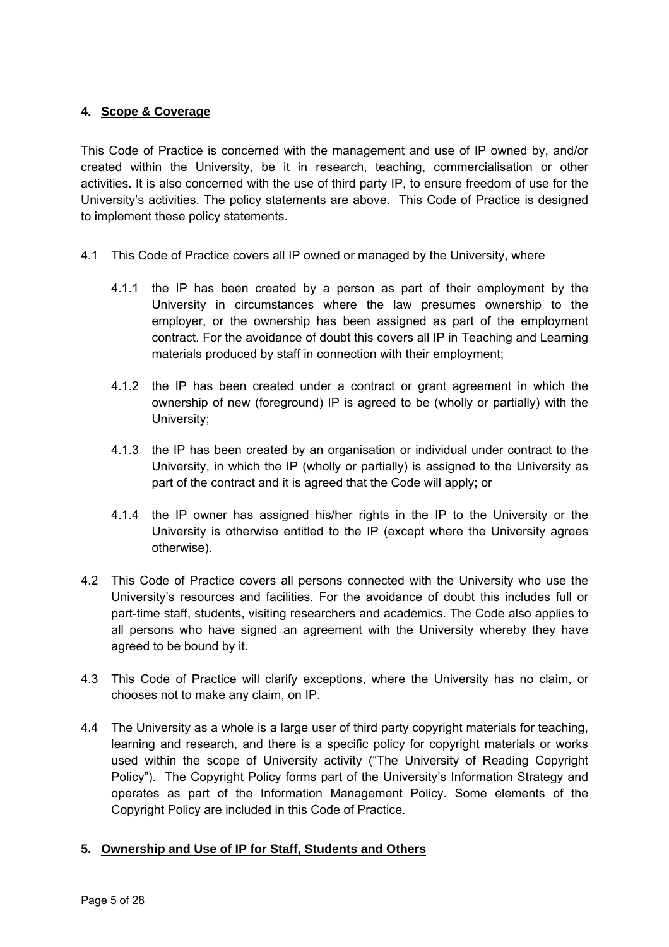## **4. Scope & Coverage**

This Code of Practice is concerned with the management and use of IP owned by, and/or created within the University, be it in research, teaching, commercialisation or other activities. It is also concerned with the use of third party IP, to ensure freedom of use for the University's activities. The policy statements are above. This Code of Practice is designed to implement these policy statements.

- 4.1 This Code of Practice covers all IP owned or managed by the University, where
	- 4.1.1 the IP has been created by a person as part of their employment by the University in circumstances where the law presumes ownership to the employer, or the ownership has been assigned as part of the employment contract. For the avoidance of doubt this covers all IP in Teaching and Learning materials produced by staff in connection with their employment;
	- 4.1.2 the IP has been created under a contract or grant agreement in which the ownership of new (foreground) IP is agreed to be (wholly or partially) with the University;
	- 4.1.3 the IP has been created by an organisation or individual under contract to the University, in which the IP (wholly or partially) is assigned to the University as part of the contract and it is agreed that the Code will apply; or
	- 4.1.4 the IP owner has assigned his/her rights in the IP to the University or the University is otherwise entitled to the IP (except where the University agrees otherwise).
- 4.2 This Code of Practice covers all persons connected with the University who use the University's resources and facilities. For the avoidance of doubt this includes full or part-time staff, students, visiting researchers and academics. The Code also applies to all persons who have signed an agreement with the University whereby they have agreed to be bound by it.
- 4.3 This Code of Practice will clarify exceptions, where the University has no claim, or chooses not to make any claim, on IP.
- 4.4 The University as a whole is a large user of third party copyright materials for teaching, learning and research, and there is a specific policy for copyright materials or works used within the scope of University activity ("The University of Reading Copyright Policy"). The Copyright Policy forms part of the University's Information Strategy and operates as part of the Information Management Policy. Some elements of the Copyright Policy are included in this Code of Practice.

## **5. Ownership and Use of IP for Staff, Students and Others**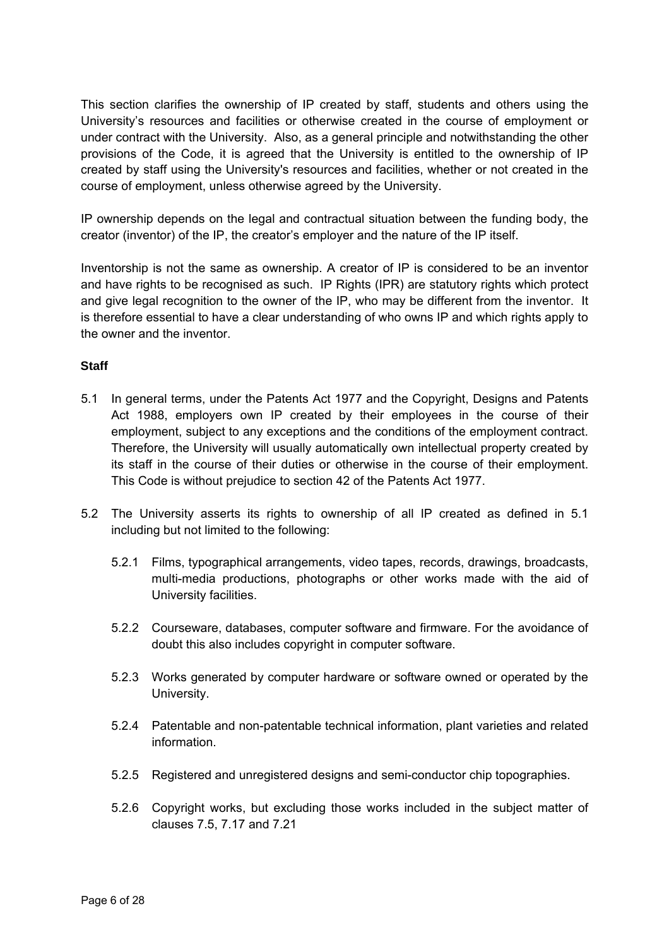This section clarifies the ownership of IP created by staff, students and others using the University's resources and facilities or otherwise created in the course of employment or under contract with the University. Also, as a general principle and notwithstanding the other provisions of the Code, it is agreed that the University is entitled to the ownership of IP created by staff using the University's resources and facilities, whether or not created in the course of employment, unless otherwise agreed by the University.

IP ownership depends on the legal and contractual situation between the funding body, the creator (inventor) of the IP, the creator's employer and the nature of the IP itself.

Inventorship is not the same as ownership. A creator of IP is considered to be an inventor and have rights to be recognised as such. IP Rights (IPR) are statutory rights which protect and give legal recognition to the owner of the IP, who may be different from the inventor. It is therefore essential to have a clear understanding of who owns IP and which rights apply to the owner and the inventor.

## **Staff**

- 5.1 In general terms, under the Patents Act 1977 and the Copyright, Designs and Patents Act 1988, employers own IP created by their employees in the course of their employment, subject to any exceptions and the conditions of the employment contract. Therefore, the University will usually automatically own intellectual property created by its staff in the course of their duties or otherwise in the course of their employment. This Code is without prejudice to section 42 of the Patents Act 1977.
- 5.2 The University asserts its rights to ownership of all IP created as defined in 5.1 including but not limited to the following:
	- 5.2.1 Films, typographical arrangements, video tapes, records, drawings, broadcasts, multi-media productions, photographs or other works made with the aid of University facilities.
	- 5.2.2 Courseware, databases, computer software and firmware. For the avoidance of doubt this also includes copyright in computer software.
	- 5.2.3 Works generated by computer hardware or software owned or operated by the University.
	- 5.2.4 Patentable and non-patentable technical information, plant varieties and related information.
	- 5.2.5 Registered and unregistered designs and semi-conductor chip topographies.
	- 5.2.6 Copyright works, but excluding those works included in the subject matter of clauses 7.5, 7.17 and 7.21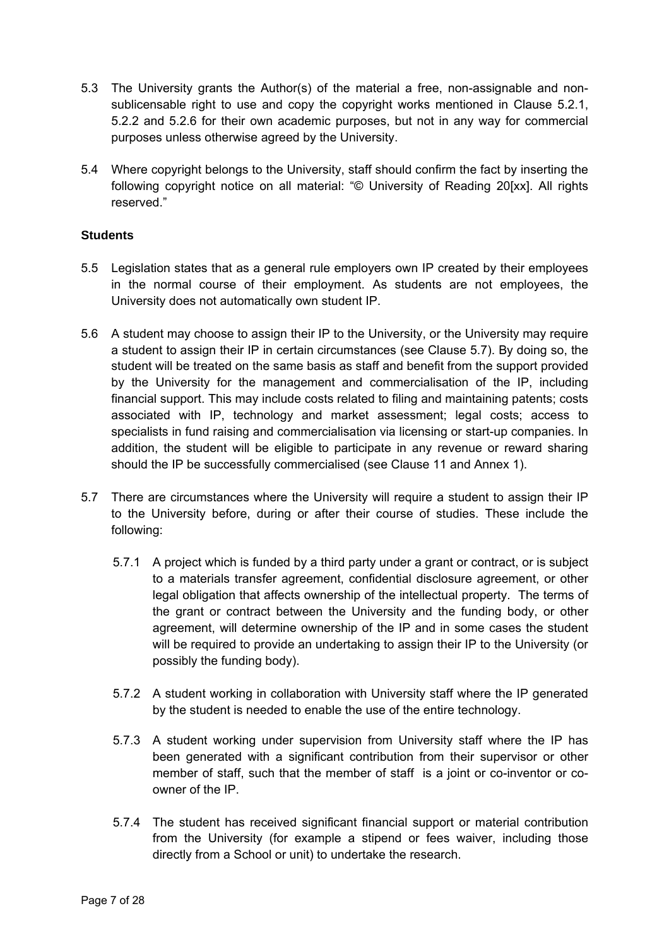- 5.3 The University grants the Author(s) of the material a free, non-assignable and nonsublicensable right to use and copy the copyright works mentioned in Clause 5.2.1, 5.2.2 and 5.2.6 for their own academic purposes, but not in any way for commercial purposes unless otherwise agreed by the University.
- 5.4 Where copyright belongs to the University, staff should confirm the fact by inserting the following copyright notice on all material: "© University of Reading 20[xx]. All rights reserved."

## **Students**

- 5.5 Legislation states that as a general rule employers own IP created by their employees in the normal course of their employment. As students are not employees, the University does not automatically own student IP.
- 5.6 A student may choose to assign their IP to the University, or the University may require a student to assign their IP in certain circumstances (see Clause 5.7). By doing so, the student will be treated on the same basis as staff and benefit from the support provided by the University for the management and commercialisation of the IP, including financial support. This may include costs related to filing and maintaining patents; costs associated with IP, technology and market assessment; legal costs; access to specialists in fund raising and commercialisation via licensing or start-up companies. In addition, the student will be eligible to participate in any revenue or reward sharing should the IP be successfully commercialised (see Clause 11 and Annex 1).
- 5.7 There are circumstances where the University will require a student to assign their IP to the University before, during or after their course of studies. These include the following:
	- 5.7.1 A project which is funded by a third party under a grant or contract, or is subject to a materials transfer agreement, confidential disclosure agreement, or other legal obligation that affects ownership of the intellectual property. The terms of the grant or contract between the University and the funding body, or other agreement, will determine ownership of the IP and in some cases the student will be required to provide an undertaking to assign their IP to the University (or possibly the funding body).
	- 5.7.2 A student working in collaboration with University staff where the IP generated by the student is needed to enable the use of the entire technology.
	- 5.7.3 A student working under supervision from University staff where the IP has been generated with a significant contribution from their supervisor or other member of staff, such that the member of staff is a joint or co-inventor or coowner of the IP.
	- 5.7.4 The student has received significant financial support or material contribution from the University (for example a stipend or fees waiver, including those directly from a School or unit) to undertake the research.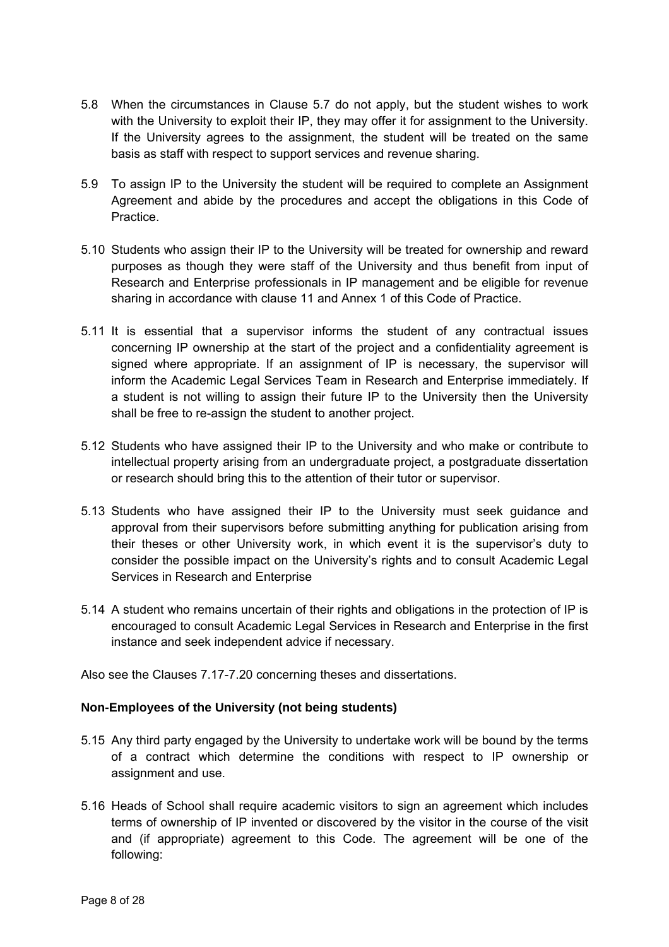- 5.8 When the circumstances in Clause 5.7 do not apply, but the student wishes to work with the University to exploit their IP, they may offer it for assignment to the University. If the University agrees to the assignment, the student will be treated on the same basis as staff with respect to support services and revenue sharing.
- 5.9 To assign IP to the University the student will be required to complete an Assignment Agreement and abide by the procedures and accept the obligations in this Code of Practice.
- 5.10 Students who assign their IP to the University will be treated for ownership and reward purposes as though they were staff of the University and thus benefit from input of Research and Enterprise professionals in IP management and be eligible for revenue sharing in accordance with clause 11 and Annex 1 of this Code of Practice.
- 5.11 It is essential that a supervisor informs the student of any contractual issues concerning IP ownership at the start of the project and a confidentiality agreement is signed where appropriate. If an assignment of IP is necessary, the supervisor will inform the Academic Legal Services Team in Research and Enterprise immediately. If a student is not willing to assign their future IP to the University then the University shall be free to re-assign the student to another project.
- 5.12 Students who have assigned their IP to the University and who make or contribute to intellectual property arising from an undergraduate project, a postgraduate dissertation or research should bring this to the attention of their tutor or supervisor.
- 5.13 Students who have assigned their IP to the University must seek guidance and approval from their supervisors before submitting anything for publication arising from their theses or other University work, in which event it is the supervisor's duty to consider the possible impact on the University's rights and to consult Academic Legal Services in Research and Enterprise
- 5.14 A student who remains uncertain of their rights and obligations in the protection of IP is encouraged to consult Academic Legal Services in Research and Enterprise in the first instance and seek independent advice if necessary.

Also see the Clauses 7.17-7.20 concerning theses and dissertations.

## **Non-Employees of the University (not being students)**

- 5.15 Any third party engaged by the University to undertake work will be bound by the terms of a contract which determine the conditions with respect to IP ownership or assignment and use.
- 5.16 Heads of School shall require academic visitors to sign an agreement which includes terms of ownership of IP invented or discovered by the visitor in the course of the visit and (if appropriate) agreement to this Code. The agreement will be one of the following: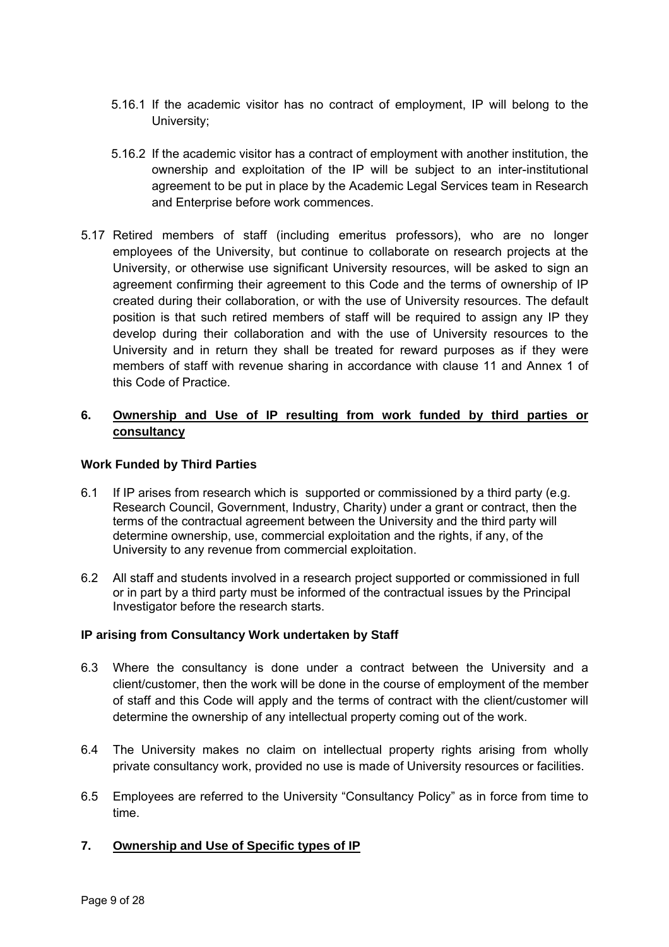- 5.16.1 If the academic visitor has no contract of employment, IP will belong to the University;
- 5.16.2 If the academic visitor has a contract of employment with another institution, the ownership and exploitation of the IP will be subject to an inter-institutional agreement to be put in place by the Academic Legal Services team in Research and Enterprise before work commences.
- 5.17 Retired members of staff (including emeritus professors), who are no longer employees of the University, but continue to collaborate on research projects at the University, or otherwise use significant University resources, will be asked to sign an agreement confirming their agreement to this Code and the terms of ownership of IP created during their collaboration, or with the use of University resources. The default position is that such retired members of staff will be required to assign any IP they develop during their collaboration and with the use of University resources to the University and in return they shall be treated for reward purposes as if they were members of staff with revenue sharing in accordance with clause 11 and Annex 1 of this Code of Practice.

## **6. Ownership and Use of IP resulting from work funded by third parties or consultancy**

## **Work Funded by Third Parties**

- 6.1 If IP arises from research which is supported or commissioned by a third party (e.g. Research Council, Government, Industry, Charity) under a grant or contract, then the terms of the contractual agreement between the University and the third party will determine ownership, use, commercial exploitation and the rights, if any, of the University to any revenue from commercial exploitation.
- 6.2 All staff and students involved in a research project supported or commissioned in full or in part by a third party must be informed of the contractual issues by the Principal Investigator before the research starts.

## **IP arising from Consultancy Work undertaken by Staff**

- 6.3 Where the consultancy is done under a contract between the University and a client/customer, then the work will be done in the course of employment of the member of staff and this Code will apply and the terms of contract with the client/customer will determine the ownership of any intellectual property coming out of the work.
- 6.4 The University makes no claim on intellectual property rights arising from wholly private consultancy work, provided no use is made of University resources or facilities.
- 6.5 Employees are referred to the University "Consultancy Policy" as in force from time to time.

## **7. Ownership and Use of Specific types of IP**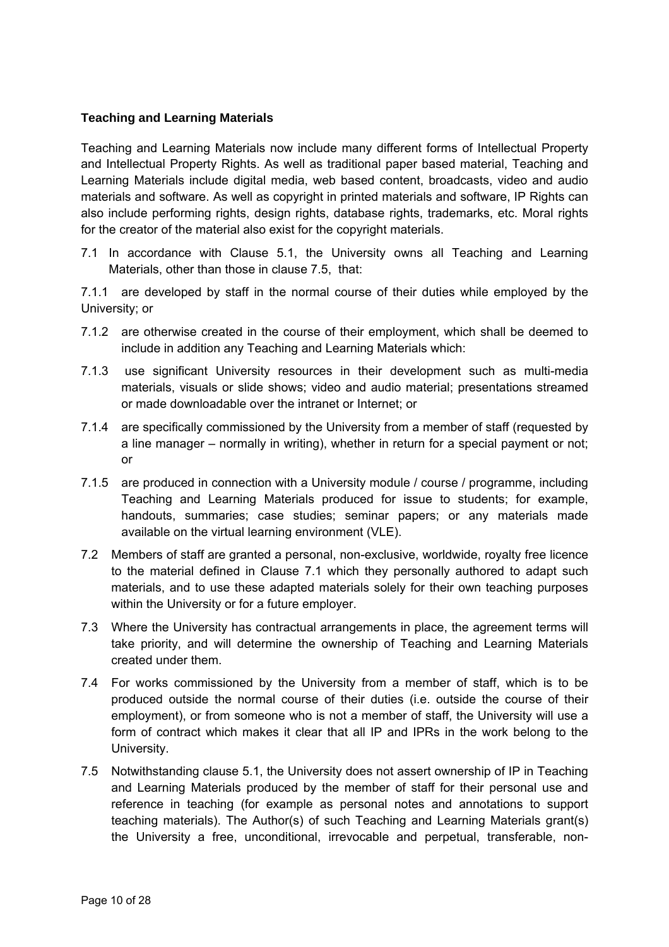## **Teaching and Learning Materials**

Teaching and Learning Materials now include many different forms of Intellectual Property and Intellectual Property Rights. As well as traditional paper based material, Teaching and Learning Materials include digital media, web based content, broadcasts, video and audio materials and software. As well as copyright in printed materials and software, IP Rights can also include performing rights, design rights, database rights, trademarks, etc. Moral rights for the creator of the material also exist for the copyright materials.

7.1 In accordance with Clause 5.1, the University owns all Teaching and Learning Materials, other than those in clause 7.5, that:

7.1.1 are developed by staff in the normal course of their duties while employed by the University; or

- 7.1.2 are otherwise created in the course of their employment, which shall be deemed to include in addition any Teaching and Learning Materials which:
- 7.1.3 use significant University resources in their development such as multi-media materials, visuals or slide shows; video and audio material; presentations streamed or made downloadable over the intranet or Internet; or
- 7.1.4 are specifically commissioned by the University from a member of staff (requested by a line manager – normally in writing), whether in return for a special payment or not; or
- 7.1.5 are produced in connection with a University module / course / programme, including Teaching and Learning Materials produced for issue to students; for example, handouts, summaries; case studies; seminar papers; or any materials made available on the virtual learning environment (VLE).
- 7.2 Members of staff are granted a personal, non-exclusive, worldwide, royalty free licence to the material defined in Clause 7.1 which they personally authored to adapt such materials, and to use these adapted materials solely for their own teaching purposes within the University or for a future employer.
- 7.3 Where the University has contractual arrangements in place, the agreement terms will take priority, and will determine the ownership of Teaching and Learning Materials created under them.
- 7.4 For works commissioned by the University from a member of staff, which is to be produced outside the normal course of their duties (i.e. outside the course of their employment), or from someone who is not a member of staff, the University will use a form of contract which makes it clear that all IP and IPRs in the work belong to the University.
- 7.5 Notwithstanding clause 5.1, the University does not assert ownership of IP in Teaching and Learning Materials produced by the member of staff for their personal use and reference in teaching (for example as personal notes and annotations to support teaching materials). The Author(s) of such Teaching and Learning Materials grant(s) the University a free, unconditional, irrevocable and perpetual, transferable, non-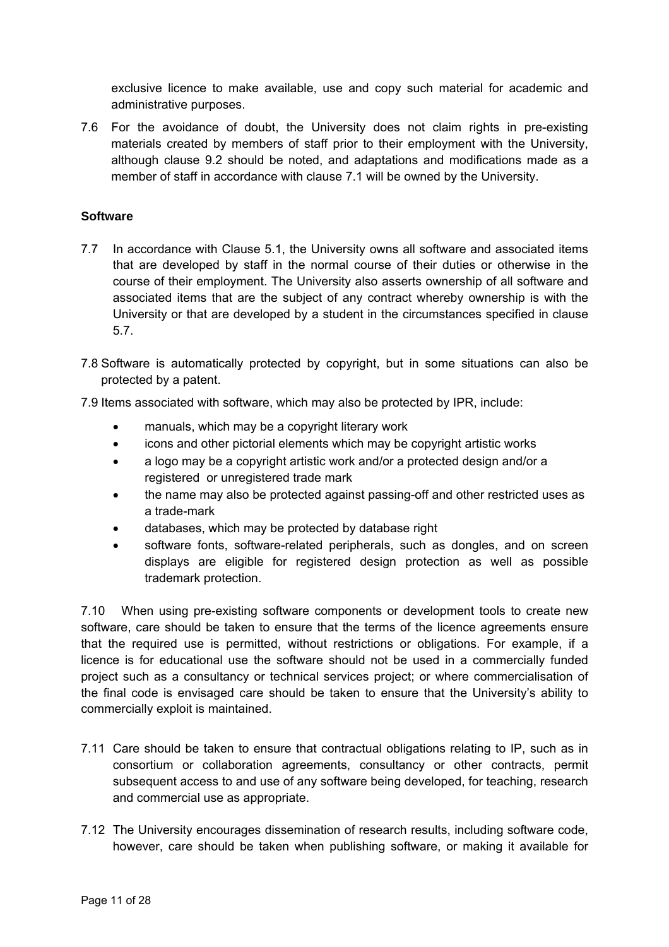exclusive licence to make available, use and copy such material for academic and administrative purposes.

7.6 For the avoidance of doubt, the University does not claim rights in pre-existing materials created by members of staff prior to their employment with the University, although clause 9.2 should be noted, and adaptations and modifications made as a member of staff in accordance with clause 7.1 will be owned by the University.

## **Software**

- 7.7 In accordance with Clause 5.1, the University owns all software and associated items that are developed by staff in the normal course of their duties or otherwise in the course of their employment. The University also asserts ownership of all software and associated items that are the subject of any contract whereby ownership is with the University or that are developed by a student in the circumstances specified in clause 5.7.
- 7.8 Software is automatically protected by copyright, but in some situations can also be protected by a patent.
- 7.9 Items associated with software, which may also be protected by IPR, include:
	- manuals, which may be a copyright literary work
	- icons and other pictorial elements which may be copyright artistic works
	- a logo may be a copyright artistic work and/or a protected design and/or a registered or unregistered trade mark
	- the name may also be protected against passing-off and other restricted uses as a trade-mark
	- databases, which may be protected by database right
	- software fonts, software-related peripherals, such as dongles, and on screen displays are eligible for registered design protection as well as possible trademark protection.

7.10 When using pre-existing software components or development tools to create new software, care should be taken to ensure that the terms of the licence agreements ensure that the required use is permitted, without restrictions or obligations. For example, if a licence is for educational use the software should not be used in a commercially funded project such as a consultancy or technical services project; or where commercialisation of the final code is envisaged care should be taken to ensure that the University's ability to commercially exploit is maintained.

- 7.11 Care should be taken to ensure that contractual obligations relating to IP, such as in consortium or collaboration agreements, consultancy or other contracts, permit subsequent access to and use of any software being developed, for teaching, research and commercial use as appropriate.
- 7.12 The University encourages dissemination of research results, including software code, however, care should be taken when publishing software, or making it available for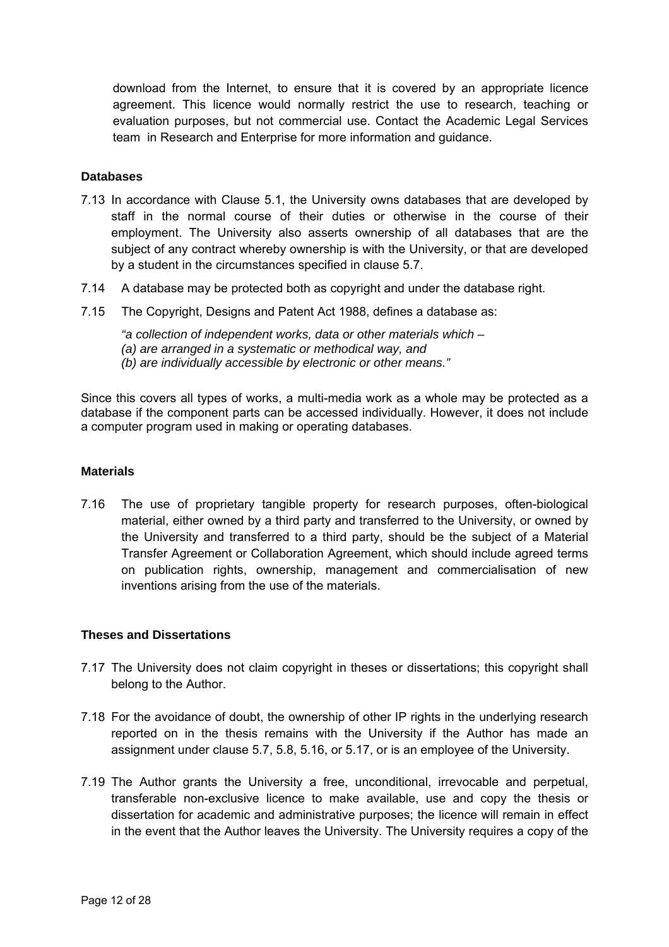download from the Internet, to ensure that it is covered by an appropriate licence agreement. This licence would normally restrict the use to research, teaching or evaluation purposes, but not commercial use. Contact the Academic Legal Services team in Research and Enterprise for more information and guidance.

#### **Databases**

- 7.13 In accordance with Clause 5.1, the University owns databases that are developed by staff in the normal course of their duties or otherwise in the course of their employment. The University also asserts ownership of all databases that are the subject of any contract whereby ownership is with the University, or that are developed by a student in the circumstances specified in clause 5.7.
- 7.14 A database may be protected both as copyright and under the database right.
- 7.15 The Copyright, Designs and Patent Act 1988, defines a database as:
	- *"a collection of independent works, data or other materials which*
	- *(a) are arranged in a systematic or methodical way, and*
	- *(b) are individually accessible by electronic or other means."*

Since this covers all types of works, a multi-media work as a whole may be protected as a database if the component parts can be accessed individually. However, it does not include a computer program used in making or operating databases.

#### **Materials**

7.16 The use of proprietary tangible property for research purposes, often-biological material, either owned by a third party and transferred to the University, or owned by the University and transferred to a third party, should be the subject of a Material Transfer Agreement or Collaboration Agreement, which should include agreed terms on publication rights, ownership, management and commercialisation of new inventions arising from the use of the materials.

#### **Theses and Dissertations**

- 7.17 The University does not claim copyright in theses or dissertations; this copyright shall belong to the Author.
- 7.18 For the avoidance of doubt, the ownership of other IP rights in the underlying research reported on in the thesis remains with the University if the Author has made an assignment under clause 5.7, 5.8, 5.16, or 5.17, or is an employee of the University.
- 7.19 The Author grants the University a free, unconditional, irrevocable and perpetual, transferable non-exclusive licence to make available, use and copy the thesis or dissertation for academic and administrative purposes; the licence will remain in effect in the event that the Author leaves the University. The University requires a copy of the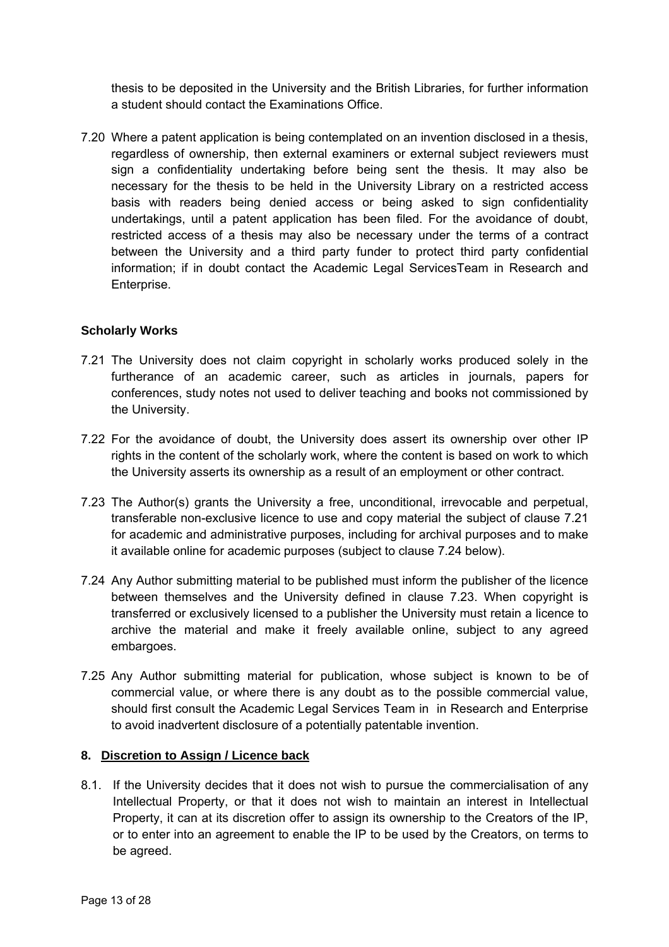thesis to be deposited in the University and the British Libraries, for further information a student should contact the Examinations Office.

7.20 Where a patent application is being contemplated on an invention disclosed in a thesis, regardless of ownership, then external examiners or external subject reviewers must sign a confidentiality undertaking before being sent the thesis. It may also be necessary for the thesis to be held in the University Library on a restricted access basis with readers being denied access or being asked to sign confidentiality undertakings, until a patent application has been filed. For the avoidance of doubt, restricted access of a thesis may also be necessary under the terms of a contract between the University and a third party funder to protect third party confidential information; if in doubt contact the Academic Legal ServicesTeam in Research and Enterprise.

## **Scholarly Works**

- 7.21 The University does not claim copyright in scholarly works produced solely in the furtherance of an academic career, such as articles in journals, papers for conferences, study notes not used to deliver teaching and books not commissioned by the University.
- 7.22 For the avoidance of doubt, the University does assert its ownership over other IP rights in the content of the scholarly work, where the content is based on work to which the University asserts its ownership as a result of an employment or other contract.
- 7.23 The Author(s) grants the University a free, unconditional, irrevocable and perpetual, transferable non-exclusive licence to use and copy material the subject of clause 7.21 for academic and administrative purposes, including for archival purposes and to make it available online for academic purposes (subject to clause 7.24 below).
- 7.24 Any Author submitting material to be published must inform the publisher of the licence between themselves and the University defined in clause 7.23. When copyright is transferred or exclusively licensed to a publisher the University must retain a licence to archive the material and make it freely available online, subject to any agreed embargoes.
- 7.25 Any Author submitting material for publication, whose subject is known to be of commercial value, or where there is any doubt as to the possible commercial value, should first consult the Academic Legal Services Team in in Research and Enterprise to avoid inadvertent disclosure of a potentially patentable invention.

## **8. Discretion to Assign / Licence back**

8.1. If the University decides that it does not wish to pursue the commercialisation of any Intellectual Property, or that it does not wish to maintain an interest in Intellectual Property, it can at its discretion offer to assign its ownership to the Creators of the IP, or to enter into an agreement to enable the IP to be used by the Creators, on terms to be agreed.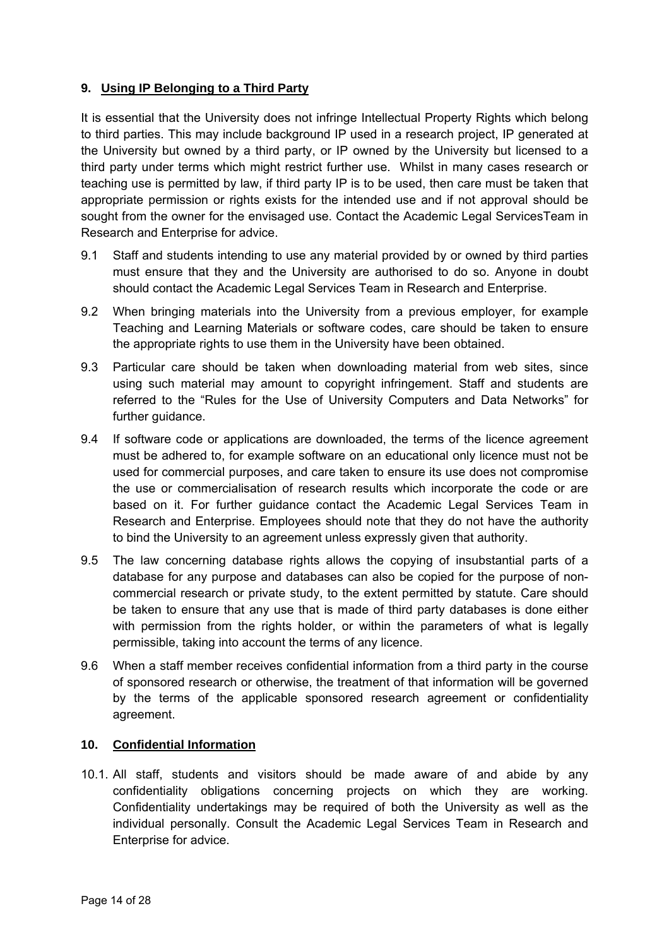## **9. Using IP Belonging to a Third Party**

It is essential that the University does not infringe Intellectual Property Rights which belong to third parties. This may include background IP used in a research project, IP generated at the University but owned by a third party, or IP owned by the University but licensed to a third party under terms which might restrict further use. Whilst in many cases research or teaching use is permitted by law, if third party IP is to be used, then care must be taken that appropriate permission or rights exists for the intended use and if not approval should be sought from the owner for the envisaged use. Contact the Academic Legal ServicesTeam in Research and Enterprise for advice.

- 9.1 Staff and students intending to use any material provided by or owned by third parties must ensure that they and the University are authorised to do so. Anyone in doubt should contact the Academic Legal Services Team in Research and Enterprise.
- 9.2 When bringing materials into the University from a previous employer, for example Teaching and Learning Materials or software codes, care should be taken to ensure the appropriate rights to use them in the University have been obtained.
- 9.3 Particular care should be taken when downloading material from web sites, since using such material may amount to copyright infringement. Staff and students are referred to the "Rules for the Use of University Computers and Data Networks" for further quidance.
- 9.4 If software code or applications are downloaded, the terms of the licence agreement must be adhered to, for example software on an educational only licence must not be used for commercial purposes, and care taken to ensure its use does not compromise the use or commercialisation of research results which incorporate the code or are based on it. For further guidance contact the Academic Legal Services Team in Research and Enterprise. Employees should note that they do not have the authority to bind the University to an agreement unless expressly given that authority.
- 9.5 The law concerning database rights allows the copying of insubstantial parts of a database for any purpose and databases can also be copied for the purpose of noncommercial research or private study, to the extent permitted by statute. Care should be taken to ensure that any use that is made of third party databases is done either with permission from the rights holder, or within the parameters of what is legally permissible, taking into account the terms of any licence.
- 9.6 When a staff member receives confidential information from a third party in the course of sponsored research or otherwise, the treatment of that information will be governed by the terms of the applicable sponsored research agreement or confidentiality agreement.

## **10. Confidential Information**

10.1. All staff, students and visitors should be made aware of and abide by any confidentiality obligations concerning projects on which they are working. Confidentiality undertakings may be required of both the University as well as the individual personally. Consult the Academic Legal Services Team in Research and Enterprise for advice.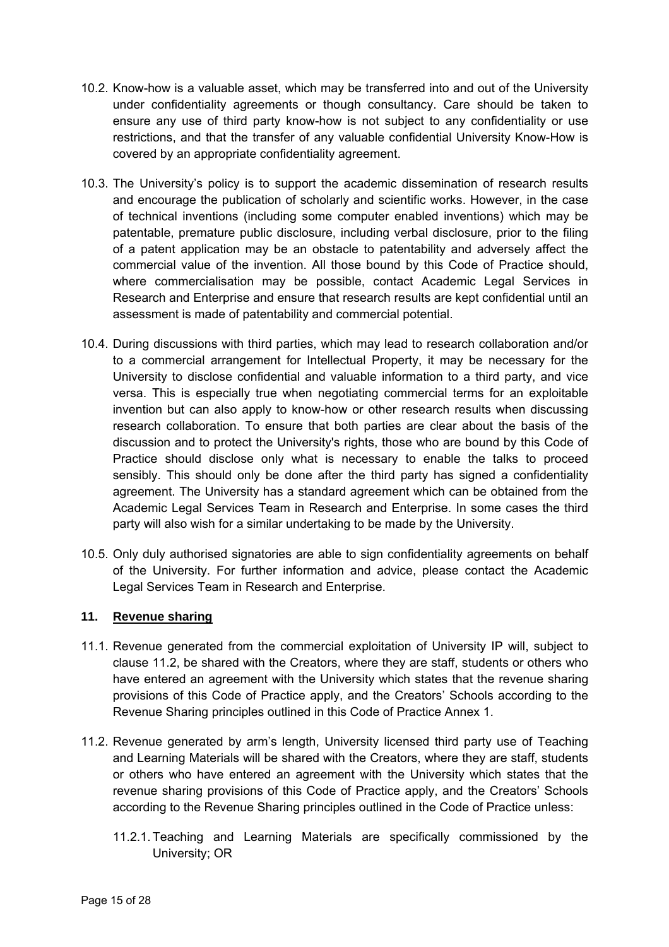- 10.2. Know-how is a valuable asset, which may be transferred into and out of the University under confidentiality agreements or though consultancy. Care should be taken to ensure any use of third party know-how is not subject to any confidentiality or use restrictions, and that the transfer of any valuable confidential University Know-How is covered by an appropriate confidentiality agreement.
- 10.3. The University's policy is to support the academic dissemination of research results and encourage the publication of scholarly and scientific works. However, in the case of technical inventions (including some computer enabled inventions) which may be patentable, premature public disclosure, including verbal disclosure, prior to the filing of a patent application may be an obstacle to patentability and adversely affect the commercial value of the invention. All those bound by this Code of Practice should, where commercialisation may be possible, contact Academic Legal Services in Research and Enterprise and ensure that research results are kept confidential until an assessment is made of patentability and commercial potential.
- 10.4. During discussions with third parties, which may lead to research collaboration and/or to a commercial arrangement for Intellectual Property, it may be necessary for the University to disclose confidential and valuable information to a third party, and vice versa. This is especially true when negotiating commercial terms for an exploitable invention but can also apply to know-how or other research results when discussing research collaboration. To ensure that both parties are clear about the basis of the discussion and to protect the University's rights, those who are bound by this Code of Practice should disclose only what is necessary to enable the talks to proceed sensibly. This should only be done after the third party has signed a confidentiality agreement. The University has a standard agreement which can be obtained from the Academic Legal Services Team in Research and Enterprise. In some cases the third party will also wish for a similar undertaking to be made by the University.
- 10.5. Only duly authorised signatories are able to sign confidentiality agreements on behalf of the University. For further information and advice, please contact the Academic Legal Services Team in Research and Enterprise.

## **11. Revenue sharing**

- 11.1. Revenue generated from the commercial exploitation of University IP will, subject to clause 11.2, be shared with the Creators, where they are staff, students or others who have entered an agreement with the University which states that the revenue sharing provisions of this Code of Practice apply, and the Creators' Schools according to the Revenue Sharing principles outlined in this Code of Practice Annex 1.
- 11.2. Revenue generated by arm's length, University licensed third party use of Teaching and Learning Materials will be shared with the Creators, where they are staff, students or others who have entered an agreement with the University which states that the revenue sharing provisions of this Code of Practice apply, and the Creators' Schools according to the Revenue Sharing principles outlined in the Code of Practice unless:
	- 11.2.1. Teaching and Learning Materials are specifically commissioned by the University; OR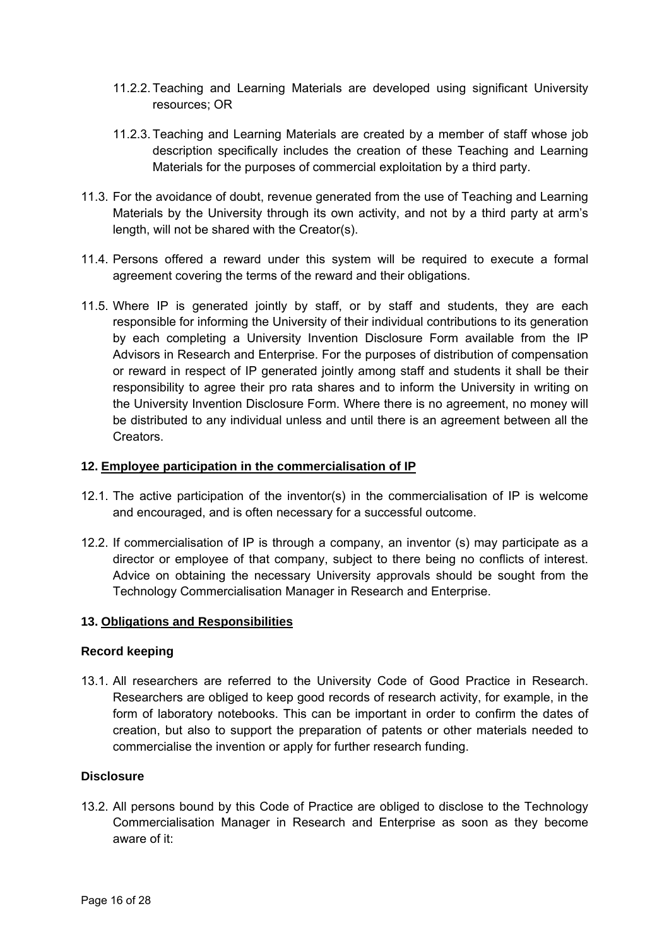- 11.2.2. Teaching and Learning Materials are developed using significant University resources; OR
- 11.2.3. Teaching and Learning Materials are created by a member of staff whose job description specifically includes the creation of these Teaching and Learning Materials for the purposes of commercial exploitation by a third party.
- 11.3. For the avoidance of doubt, revenue generated from the use of Teaching and Learning Materials by the University through its own activity, and not by a third party at arm's length, will not be shared with the Creator(s).
- 11.4. Persons offered a reward under this system will be required to execute a formal agreement covering the terms of the reward and their obligations.
- 11.5. Where IP is generated jointly by staff, or by staff and students, they are each responsible for informing the University of their individual contributions to its generation by each completing a University Invention Disclosure Form available from the IP Advisors in Research and Enterprise. For the purposes of distribution of compensation or reward in respect of IP generated jointly among staff and students it shall be their responsibility to agree their pro rata shares and to inform the University in writing on the University Invention Disclosure Form. Where there is no agreement, no money will be distributed to any individual unless and until there is an agreement between all the Creators.

## **12. Employee participation in the commercialisation of IP**

- 12.1. The active participation of the inventor(s) in the commercialisation of IP is welcome and encouraged, and is often necessary for a successful outcome.
- 12.2. If commercialisation of IP is through a company, an inventor (s) may participate as a director or employee of that company, subject to there being no conflicts of interest. Advice on obtaining the necessary University approvals should be sought from the Technology Commercialisation Manager in Research and Enterprise.

#### **13. Obligations and Responsibilities**

#### **Record keeping**

13.1. All researchers are referred to the University Code of Good Practice in Research. Researchers are obliged to keep good records of research activity, for example, in the form of laboratory notebooks. This can be important in order to confirm the dates of creation, but also to support the preparation of patents or other materials needed to commercialise the invention or apply for further research funding.

#### **Disclosure**

13.2. All persons bound by this Code of Practice are obliged to disclose to the Technology Commercialisation Manager in Research and Enterprise as soon as they become aware of it: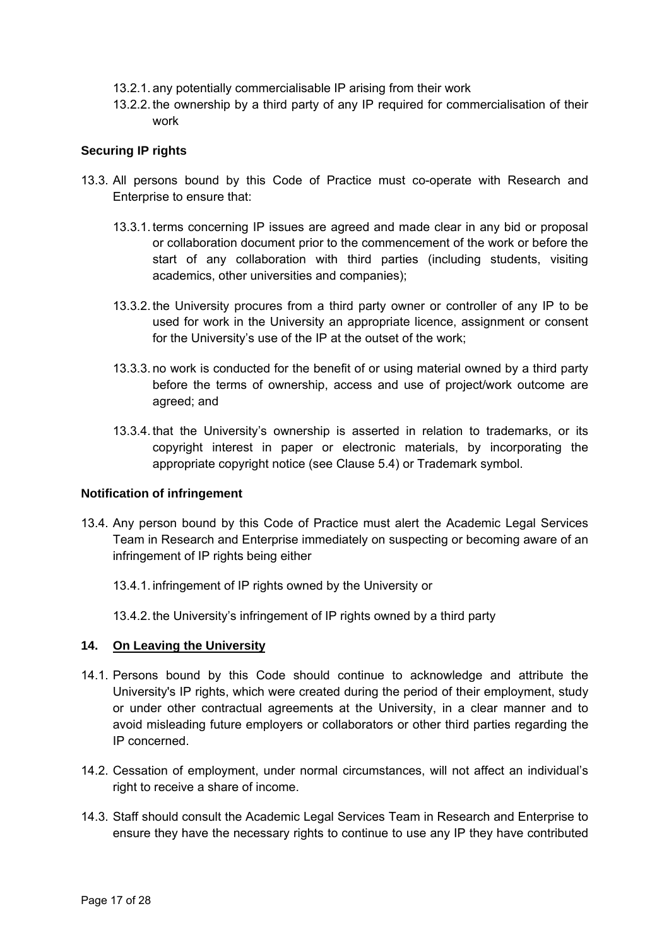- 13.2.1. any potentially commercialisable IP arising from their work
- 13.2.2. the ownership by a third party of any IP required for commercialisation of their work

### **Securing IP rights**

- 13.3. All persons bound by this Code of Practice must co-operate with Research and Enterprise to ensure that:
	- 13.3.1. terms concerning IP issues are agreed and made clear in any bid or proposal or collaboration document prior to the commencement of the work or before the start of any collaboration with third parties (including students, visiting academics, other universities and companies);
	- 13.3.2. the University procures from a third party owner or controller of any IP to be used for work in the University an appropriate licence, assignment or consent for the University's use of the IP at the outset of the work;
	- 13.3.3. no work is conducted for the benefit of or using material owned by a third party before the terms of ownership, access and use of project/work outcome are agreed; and
	- 13.3.4. that the University's ownership is asserted in relation to trademarks, or its copyright interest in paper or electronic materials, by incorporating the appropriate copyright notice (see Clause 5.4) or Trademark symbol.

#### **Notification of infringement**

- 13.4. Any person bound by this Code of Practice must alert the Academic Legal Services Team in Research and Enterprise immediately on suspecting or becoming aware of an infringement of IP rights being either
	- 13.4.1. infringement of IP rights owned by the University or
	- 13.4.2. the University's infringement of IP rights owned by a third party

### **14. On Leaving the University**

- 14.1. Persons bound by this Code should continue to acknowledge and attribute the University's IP rights, which were created during the period of their employment, study or under other contractual agreements at the University, in a clear manner and to avoid misleading future employers or collaborators or other third parties regarding the IP concerned.
- 14.2. Cessation of employment, under normal circumstances, will not affect an individual's right to receive a share of income.
- 14.3. Staff should consult the Academic Legal Services Team in Research and Enterprise to ensure they have the necessary rights to continue to use any IP they have contributed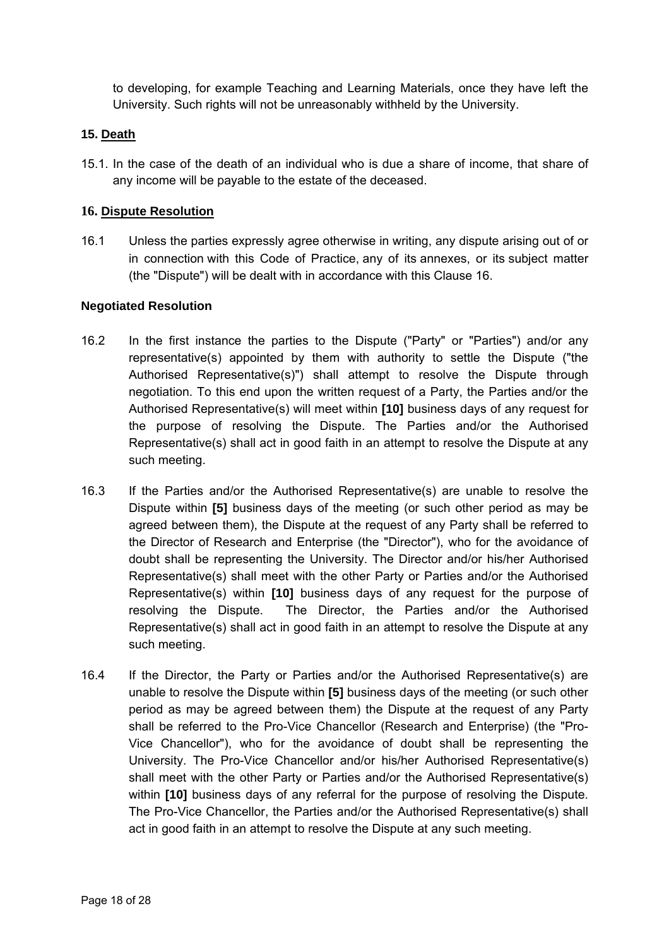to developing, for example Teaching and Learning Materials, once they have left the University. Such rights will not be unreasonably withheld by the University.

## **15. Death**

15.1. In the case of the death of an individual who is due a share of income, that share of any income will be payable to the estate of the deceased.

## **16. Dispute Resolution**

16.1 Unless the parties expressly agree otherwise in writing, any dispute arising out of or in connection with this Code of Practice, any of its annexes, or its subject matter (the "Dispute") will be dealt with in accordance with this Clause 16.

## **Negotiated Resolution**

- 16.2 In the first instance the parties to the Dispute ("Party" or "Parties") and/or any representative(s) appointed by them with authority to settle the Dispute ("the Authorised Representative(s)") shall attempt to resolve the Dispute through negotiation. To this end upon the written request of a Party, the Parties and/or the Authorised Representative(s) will meet within **[10]** business days of any request for the purpose of resolving the Dispute. The Parties and/or the Authorised Representative(s) shall act in good faith in an attempt to resolve the Dispute at any such meeting.
- 16.3 If the Parties and/or the Authorised Representative(s) are unable to resolve the Dispute within **[5]** business days of the meeting (or such other period as may be agreed between them), the Dispute at the request of any Party shall be referred to the Director of Research and Enterprise (the "Director"), who for the avoidance of doubt shall be representing the University. The Director and/or his/her Authorised Representative(s) shall meet with the other Party or Parties and/or the Authorised Representative(s) within **[10]** business days of any request for the purpose of resolving the Dispute. The Director, the Parties and/or the Authorised Representative(s) shall act in good faith in an attempt to resolve the Dispute at any such meeting.
- 16.4 If the Director, the Party or Parties and/or the Authorised Representative(s) are unable to resolve the Dispute within **[5]** business days of the meeting (or such other period as may be agreed between them) the Dispute at the request of any Party shall be referred to the Pro-Vice Chancellor (Research and Enterprise) (the "Pro-Vice Chancellor"), who for the avoidance of doubt shall be representing the University. The Pro-Vice Chancellor and/or his/her Authorised Representative(s) shall meet with the other Party or Parties and/or the Authorised Representative(s) within **[10]** business days of any referral for the purpose of resolving the Dispute. The Pro-Vice Chancellor, the Parties and/or the Authorised Representative(s) shall act in good faith in an attempt to resolve the Dispute at any such meeting.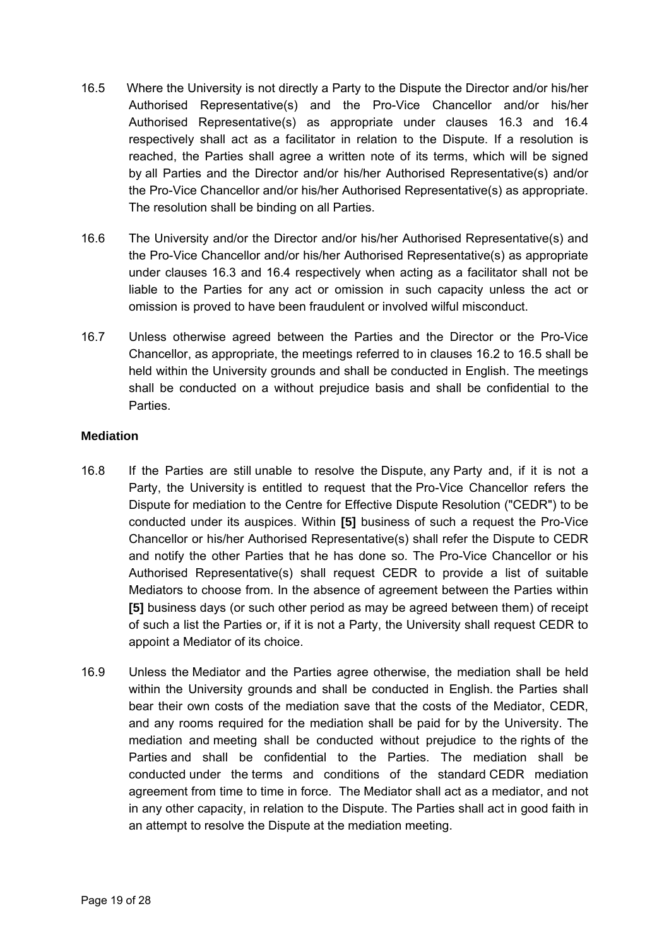- 16.5 Where the University is not directly a Party to the Dispute the Director and/or his/her Authorised Representative(s) and the Pro-Vice Chancellor and/or his/her Authorised Representative(s) as appropriate under clauses 16.3 and 16.4 respectively shall act as a facilitator in relation to the Dispute. If a resolution is reached, the Parties shall agree a written note of its terms, which will be signed by all Parties and the Director and/or his/her Authorised Representative(s) and/or the Pro-Vice Chancellor and/or his/her Authorised Representative(s) as appropriate. The resolution shall be binding on all Parties.
- 16.6 The University and/or the Director and/or his/her Authorised Representative(s) and the Pro-Vice Chancellor and/or his/her Authorised Representative(s) as appropriate under clauses 16.3 and 16.4 respectively when acting as a facilitator shall not be liable to the Parties for any act or omission in such capacity unless the act or omission is proved to have been fraudulent or involved wilful misconduct.
- 16.7 Unless otherwise agreed between the Parties and the Director or the Pro-Vice Chancellor, as appropriate, the meetings referred to in clauses 16.2 to 16.5 shall be held within the University grounds and shall be conducted in English. The meetings shall be conducted on a without prejudice basis and shall be confidential to the **Parties**

## **Mediation**

- 16.8 If the Parties are still unable to resolve the Dispute, any Party and, if it is not a Party, the University is entitled to request that the Pro-Vice Chancellor refers the Dispute for mediation to the Centre for Effective Dispute Resolution ("CEDR") to be conducted under its auspices. Within **[5]** business of such a request the Pro-Vice Chancellor or his/her Authorised Representative(s) shall refer the Dispute to CEDR and notify the other Parties that he has done so. The Pro-Vice Chancellor or his Authorised Representative(s) shall request CEDR to provide a list of suitable Mediators to choose from. In the absence of agreement between the Parties within **[5]** business days (or such other period as may be agreed between them) of receipt of such a list the Parties or, if it is not a Party, the University shall request CEDR to appoint a Mediator of its choice.
- 16.9 Unless the Mediator and the Parties agree otherwise, the mediation shall be held within the University grounds and shall be conducted in English. the Parties shall bear their own costs of the mediation save that the costs of the Mediator, CEDR, and any rooms required for the mediation shall be paid for by the University. The mediation and meeting shall be conducted without prejudice to the rights of the Parties and shall be confidential to the Parties. The mediation shall be conducted under the terms and conditions of the standard CEDR mediation agreement from time to time in force. The Mediator shall act as a mediator, and not in any other capacity, in relation to the Dispute. The Parties shall act in good faith in an attempt to resolve the Dispute at the mediation meeting.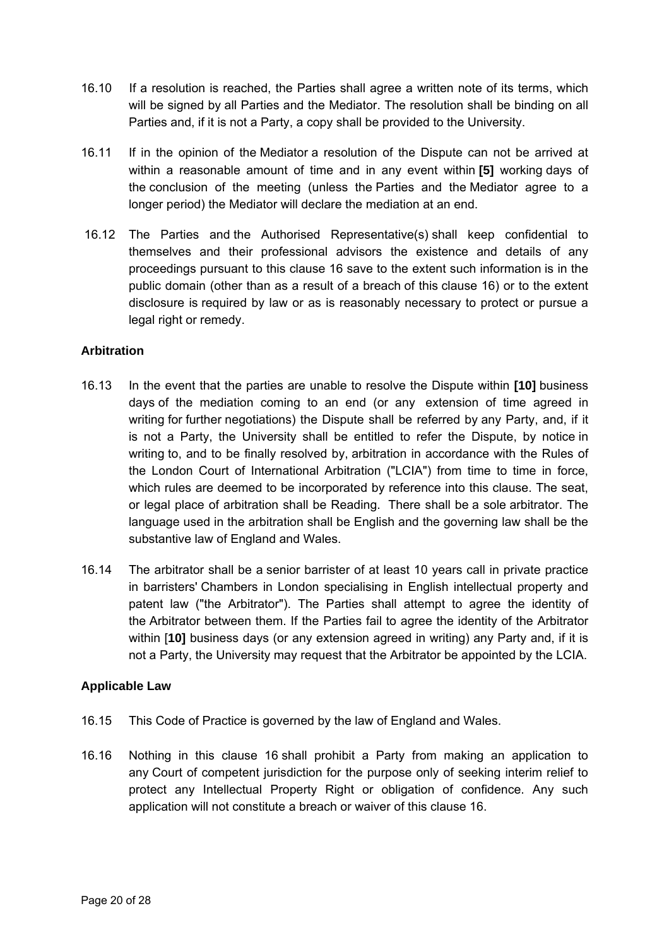- 16.10 If a resolution is reached, the Parties shall agree a written note of its terms, which will be signed by all Parties and the Mediator. The resolution shall be binding on all Parties and, if it is not a Party, a copy shall be provided to the University.
- 16.11 If in the opinion of the Mediator a resolution of the Dispute can not be arrived at within a reasonable amount of time and in any event within **[5]** working days of the conclusion of the meeting (unless the Parties and the Mediator agree to a longer period) the Mediator will declare the mediation at an end.
- 16.12 The Parties and the Authorised Representative(s) shall keep confidential to themselves and their professional advisors the existence and details of any proceedings pursuant to this clause 16 save to the extent such information is in the public domain (other than as a result of a breach of this clause 16) or to the extent disclosure is required by law or as is reasonably necessary to protect or pursue a legal right or remedy.

## **Arbitration**

- 16.13 In the event that the parties are unable to resolve the Dispute within **[10]** business days of the mediation coming to an end (or any extension of time agreed in writing for further negotiations) the Dispute shall be referred by any Party, and, if it is not a Party, the University shall be entitled to refer the Dispute, by notice in writing to, and to be finally resolved by, arbitration in accordance with the Rules of the London Court of International Arbitration ("LCIA") from time to time in force, which rules are deemed to be incorporated by reference into this clause. The seat, or legal place of arbitration shall be Reading. There shall be a sole arbitrator. The language used in the arbitration shall be English and the governing law shall be the substantive law of England and Wales.
- 16.14 The arbitrator shall be a senior barrister of at least 10 years call in private practice in barristers' Chambers in London specialising in English intellectual property and patent law ("the Arbitrator"). The Parties shall attempt to agree the identity of the Arbitrator between them. If the Parties fail to agree the identity of the Arbitrator within [**10]** business days (or any extension agreed in writing) any Party and, if it is not a Party, the University may request that the Arbitrator be appointed by the LCIA.

## **Applicable Law**

- 16.15 This Code of Practice is governed by the law of England and Wales.
- 16.16 Nothing in this clause 16 shall prohibit a Party from making an application to any Court of competent jurisdiction for the purpose only of seeking interim relief to protect any Intellectual Property Right or obligation of confidence. Any such application will not constitute a breach or waiver of this clause 16.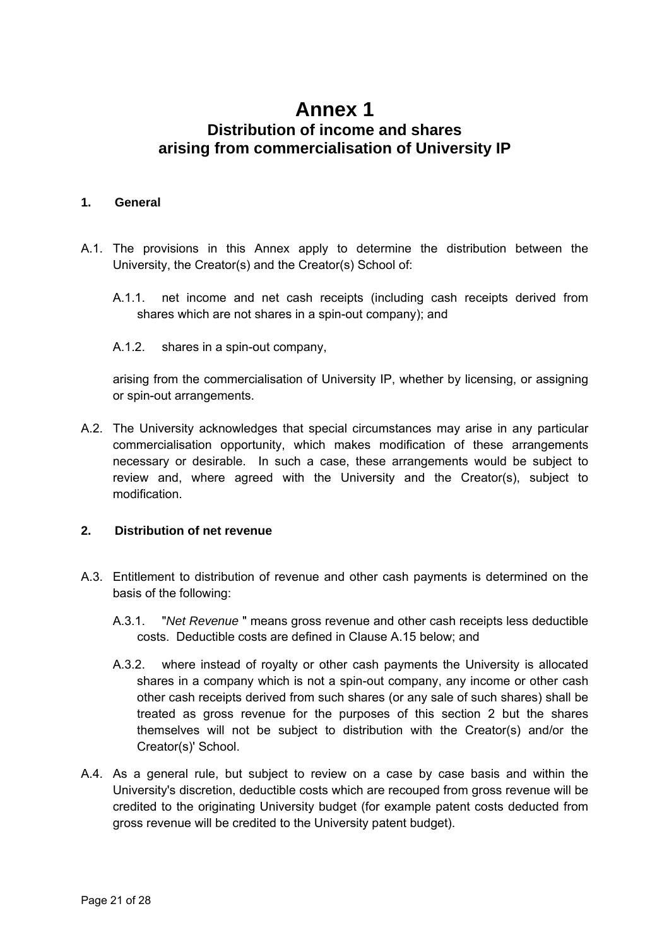## **Annex 1 Distribution of income and shares arising from commercialisation of University IP**

#### **1. General**

- A.1. The provisions in this Annex apply to determine the distribution between the University, the Creator(s) and the Creator(s) School of:
	- A.1.1. net income and net cash receipts (including cash receipts derived from shares which are not shares in a spin-out company); and
	- A.1.2. shares in a spin-out company,

arising from the commercialisation of University IP, whether by licensing, or assigning or spin-out arrangements.

A.2. The University acknowledges that special circumstances may arise in any particular commercialisation opportunity, which makes modification of these arrangements necessary or desirable. In such a case, these arrangements would be subject to review and, where agreed with the University and the Creator(s), subject to modification.

## **2. Distribution of net revenue**

- A.3. Entitlement to distribution of revenue and other cash payments is determined on the basis of the following:
	- A.3.1. "*Net Revenue* " means gross revenue and other cash receipts less deductible costs. Deductible costs are defined in Clause A.15 below; and
	- A.3.2. where instead of royalty or other cash payments the University is allocated shares in a company which is not a spin-out company, any income or other cash other cash receipts derived from such shares (or any sale of such shares) shall be treated as gross revenue for the purposes of this section 2 but the shares themselves will not be subject to distribution with the Creator(s) and/or the Creator(s)' School.
- A.4. As a general rule, but subject to review on a case by case basis and within the University's discretion, deductible costs which are recouped from gross revenue will be credited to the originating University budget (for example patent costs deducted from gross revenue will be credited to the University patent budget).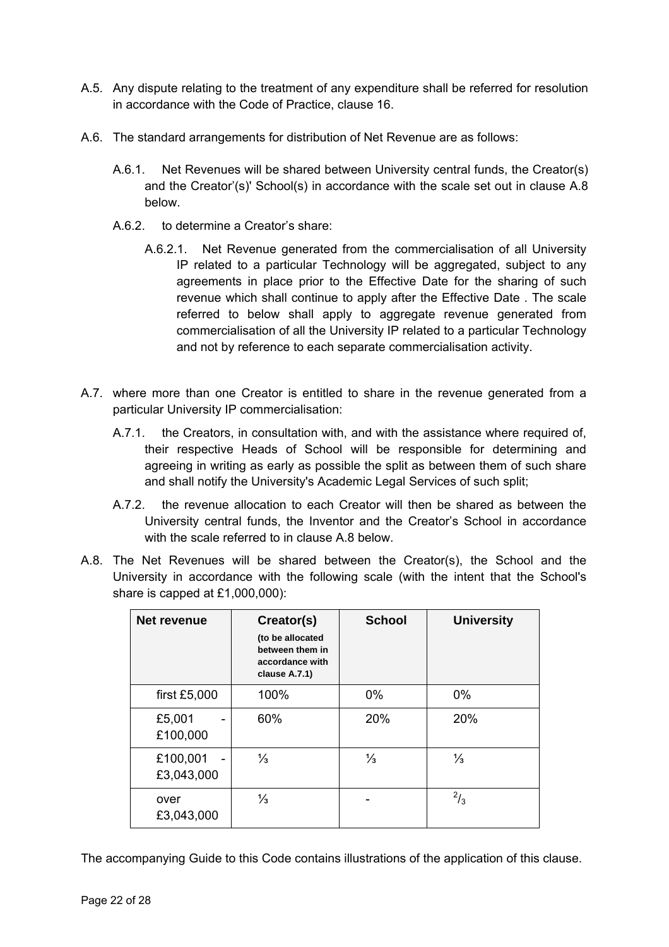- A.5. Any dispute relating to the treatment of any expenditure shall be referred for resolution in accordance with the Code of Practice, clause 16.
- A.6. The standard arrangements for distribution of Net Revenue are as follows:
	- A.6.1. Net Revenues will be shared between University central funds, the Creator(s) and the Creator'(s)' School(s) in accordance with the scale set out in clause A.8 below.
	- A.6.2. to determine a Creator's share:
		- A.6.2.1. Net Revenue generated from the commercialisation of all University IP related to a particular Technology will be aggregated, subject to any agreements in place prior to the Effective Date for the sharing of such revenue which shall continue to apply after the Effective Date . The scale referred to below shall apply to aggregate revenue generated from commercialisation of all the University IP related to a particular Technology and not by reference to each separate commercialisation activity.
- A.7. where more than one Creator is entitled to share in the revenue generated from a particular University IP commercialisation:
	- A.7.1. the Creators, in consultation with, and with the assistance where required of, their respective Heads of School will be responsible for determining and agreeing in writing as early as possible the split as between them of such share and shall notify the University's Academic Legal Services of such split;
	- A.7.2. the revenue allocation to each Creator will then be shared as between the University central funds, the Inventor and the Creator's School in accordance with the scale referred to in clause A.8 below.
- A.8. The Net Revenues will be shared between the Creator(s), the School and the University in accordance with the following scale (with the intent that the School's share is capped at £1,000,000):

| Net revenue            | Creator(s)<br>(to be allocated<br>between them in<br>accordance with<br>clause A.7.1) | <b>School</b> | <b>University</b> |
|------------------------|---------------------------------------------------------------------------------------|---------------|-------------------|
| first £5,000           | 100%                                                                                  | 0%            | $0\%$             |
| £5,001<br>£100,000     | 60%                                                                                   | 20%           | 20%               |
| £100,001<br>£3,043,000 | $\frac{1}{3}$                                                                         | $\frac{1}{3}$ | $\frac{1}{3}$     |
| over<br>£3,043,000     | $\frac{1}{3}$                                                                         |               | $^{2}/_{3}$       |

The accompanying Guide to this Code contains illustrations of the application of this clause.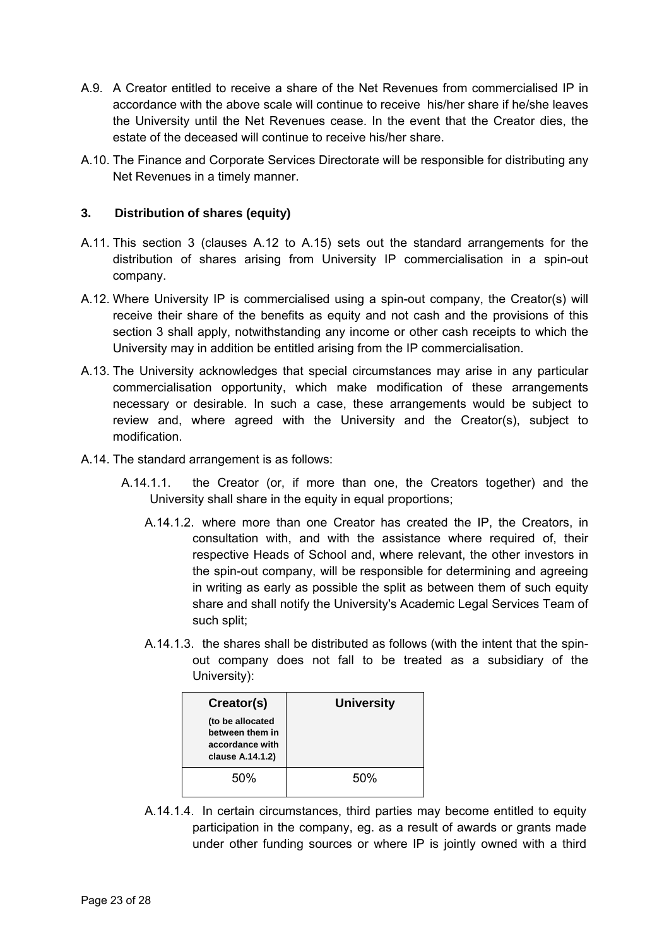- A.9. A Creator entitled to receive a share of the Net Revenues from commercialised IP in accordance with the above scale will continue to receive his/her share if he/she leaves the University until the Net Revenues cease. In the event that the Creator dies, the estate of the deceased will continue to receive his/her share.
- A.10. The Finance and Corporate Services Directorate will be responsible for distributing any Net Revenues in a timely manner.

## **3. Distribution of shares (equity)**

- A.11. This section 3 (clauses A.12 to A.15) sets out the standard arrangements for the distribution of shares arising from University IP commercialisation in a spin-out company.
- A.12. Where University IP is commercialised using a spin-out company, the Creator(s) will receive their share of the benefits as equity and not cash and the provisions of this section 3 shall apply, notwithstanding any income or other cash receipts to which the University may in addition be entitled arising from the IP commercialisation.
- A.13. The University acknowledges that special circumstances may arise in any particular commercialisation opportunity, which make modification of these arrangements necessary or desirable. In such a case, these arrangements would be subject to review and, where agreed with the University and the Creator(s), subject to modification.
- A.14. The standard arrangement is as follows:
	- A.14.1.1. the Creator (or, if more than one, the Creators together) and the University shall share in the equity in equal proportions;
		- A.14.1.2. where more than one Creator has created the IP, the Creators, in consultation with, and with the assistance where required of, their respective Heads of School and, where relevant, the other investors in the spin-out company, will be responsible for determining and agreeing in writing as early as possible the split as between them of such equity share and shall notify the University's Academic Legal Services Team of such split;
		- A.14.1.3. the shares shall be distributed as follows (with the intent that the spinout company does not fall to be treated as a subsidiary of the University):

| Creator(s)                                                                 | <b>University</b> |
|----------------------------------------------------------------------------|-------------------|
| (to be allocated<br>between them in<br>accordance with<br>clause A.14.1.2) |                   |
| 50%                                                                        | 50%               |

A.14.1.4. In certain circumstances, third parties may become entitled to equity participation in the company, eg. as a result of awards or grants made under other funding sources or where IP is jointly owned with a third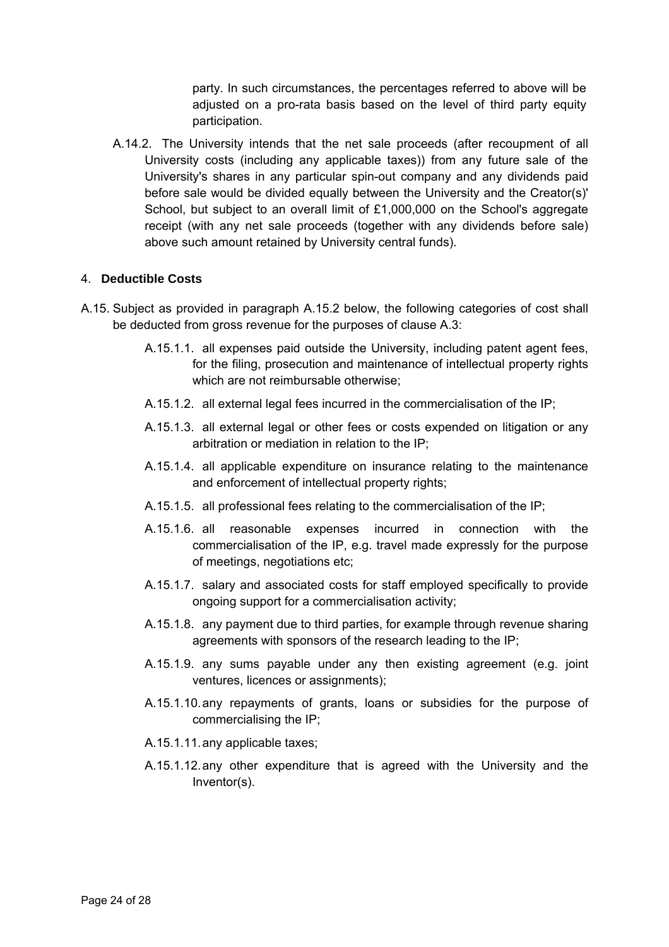party. In such circumstances, the percentages referred to above will be adjusted on a pro-rata basis based on the level of third party equity participation.

A.14.2. The University intends that the net sale proceeds (after recoupment of all University costs (including any applicable taxes)) from any future sale of the University's shares in any particular spin-out company and any dividends paid before sale would be divided equally between the University and the Creator(s)' School, but subject to an overall limit of £1,000,000 on the School's aggregate receipt (with any net sale proceeds (together with any dividends before sale) above such amount retained by University central funds).

## 4. **Deductible Costs**

- A.15. Subject as provided in paragraph A.15.2 below, the following categories of cost shall be deducted from gross revenue for the purposes of clause A.3:
	- A.15.1.1. all expenses paid outside the University, including patent agent fees, for the filing, prosecution and maintenance of intellectual property rights which are not reimbursable otherwise;
	- A.15.1.2. all external legal fees incurred in the commercialisation of the IP;
	- A.15.1.3. all external legal or other fees or costs expended on litigation or any arbitration or mediation in relation to the IP;
	- A.15.1.4. all applicable expenditure on insurance relating to the maintenance and enforcement of intellectual property rights;
	- A.15.1.5. all professional fees relating to the commercialisation of the IP;
	- A.15.1.6. all reasonable expenses incurred in connection with the commercialisation of the IP, e.g. travel made expressly for the purpose of meetings, negotiations etc;
	- A.15.1.7. salary and associated costs for staff employed specifically to provide ongoing support for a commercialisation activity;
	- A.15.1.8. any payment due to third parties, for example through revenue sharing agreements with sponsors of the research leading to the IP;
	- A.15.1.9. any sums payable under any then existing agreement (e.g. joint ventures, licences or assignments);
	- A.15.1.10. any repayments of grants, loans or subsidies for the purpose of commercialising the IP;
	- A.15.1.11. any applicable taxes;
	- A.15.1.12. any other expenditure that is agreed with the University and the Inventor(s).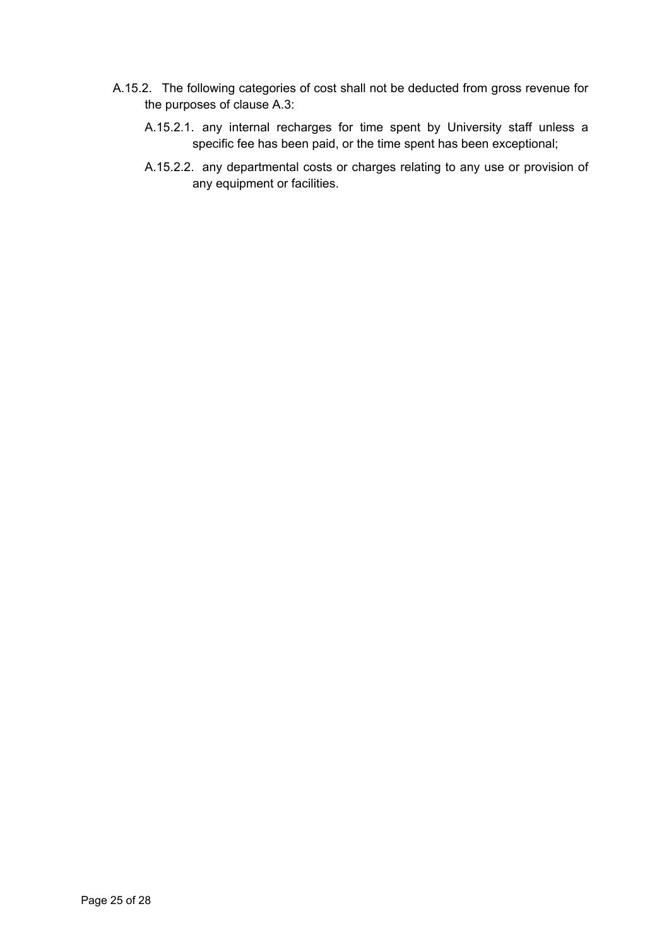- A.15.2. The following categories of cost shall not be deducted from gross revenue for the purposes of clause A.3:
	- A.15.2.1. any internal recharges for time spent by University staff unless a specific fee has been paid, or the time spent has been exceptional;
	- A.15.2.2. any departmental costs or charges relating to any use or provision of any equipment or facilities.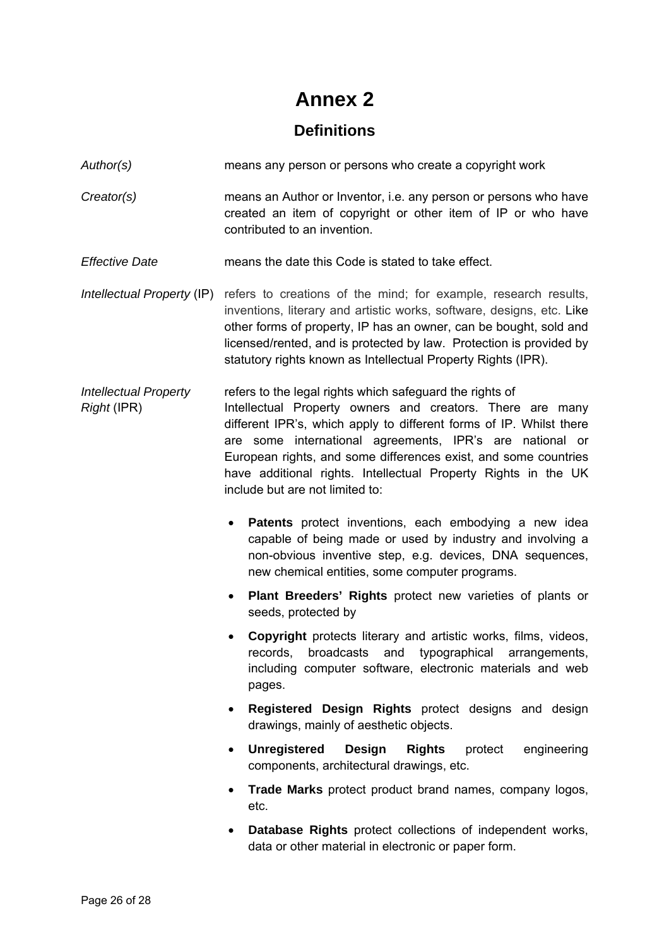# **Annex 2**

## **Definitions**

*Author(s)* means any person or persons who create a copyright work

*Creator(s)* means an Author or Inventor, i.e. any person or persons who have created an item of copyright or other item of IP or who have contributed to an invention.

*Effective Date* means the date this Code is stated to take effect.

*Intellectual Property* (IP) refers to creations of the mind; for example, research results, inventions, literary and artistic works, software, designs, etc. Like other forms of property, IP has an owner, can be bought, sold and licensed/rented, and is protected by law. Protection is provided by statutory rights known as Intellectual Property Rights (IPR).

*Intellectual Property* refers to the legal rights which safeguard the rights of *Right* (IPR) **Intellectual Property owners and creators**. There are many different IPR's, which apply to different forms of IP. Whilst there are some international agreements, IPR's are national or European rights, and some differences exist, and some countries have additional rights. Intellectual Property Rights in the UK include but are not limited to:

- **Patents** protect inventions, each embodying a new idea capable of being made or used by industry and involving a non-obvious inventive step, e.g. devices, DNA sequences, new chemical entities, some computer programs.
- **Plant Breeders' Rights** protect new varieties of plants or seeds, protected by
- **Copyright** protects literary and artistic works, films, videos, records, broadcasts and typographical arrangements, including computer software, electronic materials and web pages.
- **Registered Design Rights** protect designs and design drawings, mainly of aesthetic objects.
- **Unregistered Design Rights** protect engineering components, architectural drawings, etc.
- **Trade Marks** protect product brand names, company logos, etc.
- **Database Rights** protect collections of independent works, data or other material in electronic or paper form.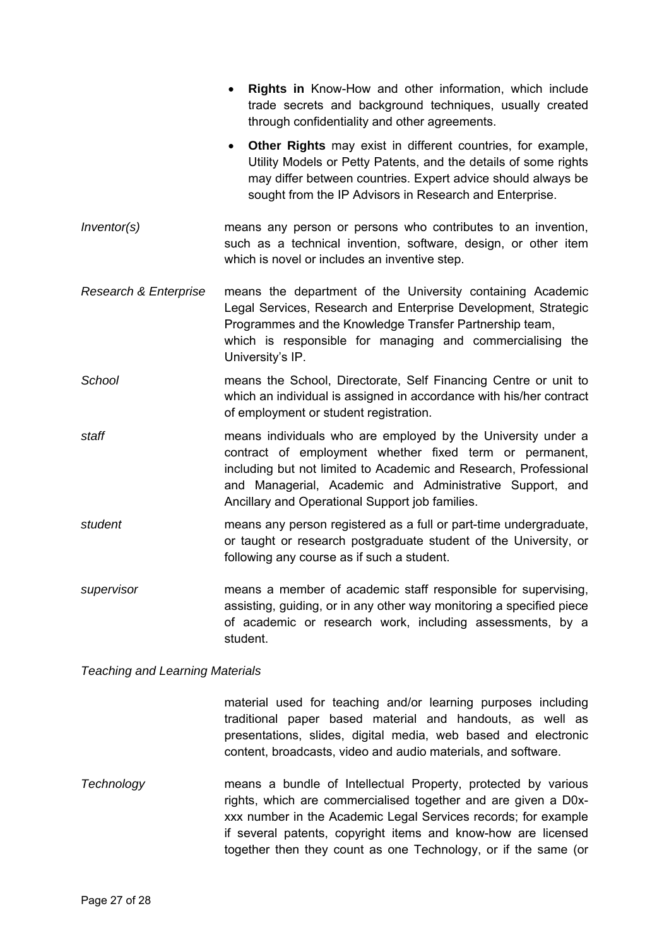|                                  | Rights in Know-How and other information, which include<br>trade secrets and background techniques, usually created<br>through confidentiality and other agreements.                                                                                                                                       |
|----------------------------------|------------------------------------------------------------------------------------------------------------------------------------------------------------------------------------------------------------------------------------------------------------------------------------------------------------|
|                                  | Other Rights may exist in different countries, for example,<br>$\bullet$<br>Utility Models or Petty Patents, and the details of some rights<br>may differ between countries. Expert advice should always be<br>sought from the IP Advisors in Research and Enterprise.                                     |
| Inventor(s)                      | means any person or persons who contributes to an invention,<br>such as a technical invention, software, design, or other item<br>which is novel or includes an inventive step.                                                                                                                            |
| <b>Research &amp; Enterprise</b> | means the department of the University containing Academic<br>Legal Services, Research and Enterprise Development, Strategic<br>Programmes and the Knowledge Transfer Partnership team,<br>which is responsible for managing and commercialising the<br>University's IP.                                   |
| School                           | means the School, Directorate, Self Financing Centre or unit to<br>which an individual is assigned in accordance with his/her contract<br>of employment or student registration.                                                                                                                           |
| staff                            | means individuals who are employed by the University under a<br>contract of employment whether fixed term or permanent,<br>including but not limited to Academic and Research, Professional<br>and Managerial, Academic and Administrative Support, and<br>Ancillary and Operational Support job families. |
| student                          | means any person registered as a full or part-time undergraduate,<br>or taught or research postgraduate student of the University, or<br>following any course as if such a student.                                                                                                                        |
| supervisor                       | means a member of academic staff responsible for supervising,<br>assisting, guiding, or in any other way monitoring a specified piece<br>of academic or research work, including assessments, by a<br>student.                                                                                             |

*Teaching and Learning Materials* 

material used for teaching and/or learning purposes including traditional paper based material and handouts, as well as presentations, slides, digital media, web based and electronic content, broadcasts, video and audio materials, and software.

*Technology* means a bundle of Intellectual Property, protected by various rights, which are commercialised together and are given a D0xxxx number in the Academic Legal Services records; for example if several patents, copyright items and know-how are licensed together then they count as one Technology, or if the same (or